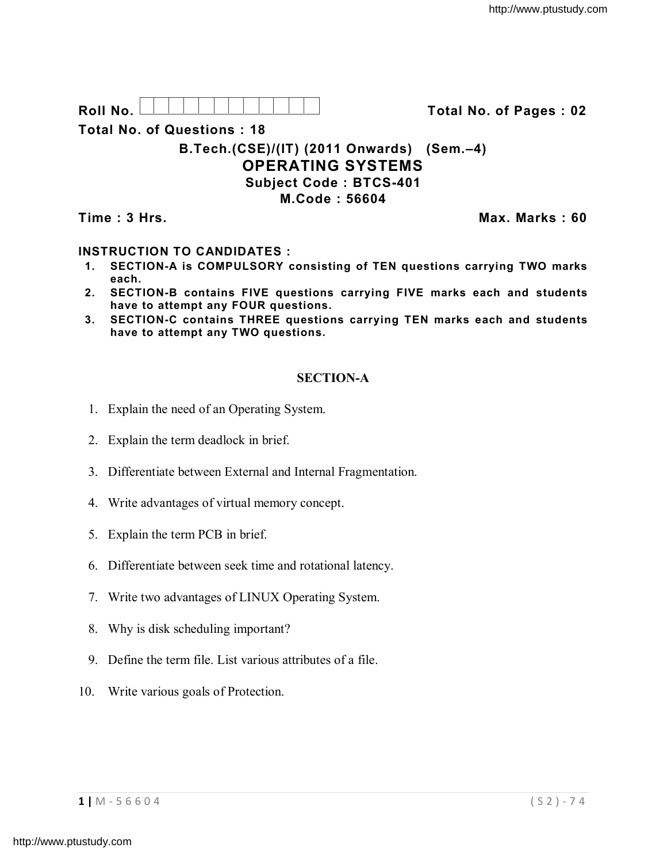**Roll No. Total No. of Pages : 02**

**Total No. of Questions : 18**

# **B.Tech.(CSE)/(IT) (2011 Onwards) (Sem.–4) OPERATING SYSTEMS Subject Code : BTCS-401 M.Code : 56604**

**Time : 3 Hrs.** Max. Marks : 60

# **INSTRUCTION TO CANDIDATES :**

- **1. SECTION-A is COMPULSORY consisting of TEN questions carrying TWO marks each.**
- **2. SECTION-B contains FIVE questions carrying FIVE marks each and students have to attempt any FOUR questions.**
- **3. SECTION-C contains THREE questions carrying TEN marks each and students have to attempt any TWO questions.**

# **SECTION-A**

- 1. Explain the need of an Operating System.
- 2. Explain the term deadlock in brief.
- 3. Differentiate between External and Internal Fragmentation.
- 4. Write advantages of virtual memory concept.
- 5. Explain the term PCB in brief.
- 6. Differentiate between seek time and rotational latency.
- 7. Write two advantages of LINUX Operating System.
- 8. Why is disk scheduling important?
- 9. Define the term file. List various attributes of a file.
- 10. Write various goals of Protection.